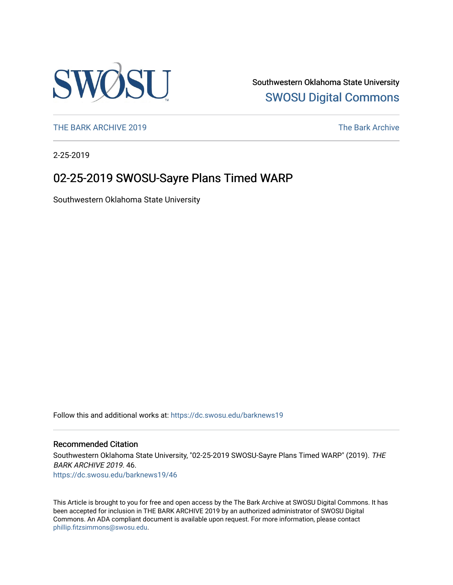

Southwestern Oklahoma State University [SWOSU Digital Commons](https://dc.swosu.edu/) 

[THE BARK ARCHIVE 2019](https://dc.swosu.edu/barknews19) The Bark Archive

2-25-2019

### 02-25-2019 SWOSU-Sayre Plans Timed WARP

Southwestern Oklahoma State University

Follow this and additional works at: [https://dc.swosu.edu/barknews19](https://dc.swosu.edu/barknews19?utm_source=dc.swosu.edu%2Fbarknews19%2F46&utm_medium=PDF&utm_campaign=PDFCoverPages)

#### Recommended Citation

Southwestern Oklahoma State University, "02-25-2019 SWOSU-Sayre Plans Timed WARP" (2019). THE BARK ARCHIVE 2019. 46. [https://dc.swosu.edu/barknews19/46](https://dc.swosu.edu/barknews19/46?utm_source=dc.swosu.edu%2Fbarknews19%2F46&utm_medium=PDF&utm_campaign=PDFCoverPages) 

This Article is brought to you for free and open access by the The Bark Archive at SWOSU Digital Commons. It has been accepted for inclusion in THE BARK ARCHIVE 2019 by an authorized administrator of SWOSU Digital Commons. An ADA compliant document is available upon request. For more information, please contact [phillip.fitzsimmons@swosu.edu](mailto:phillip.fitzsimmons@swosu.edu).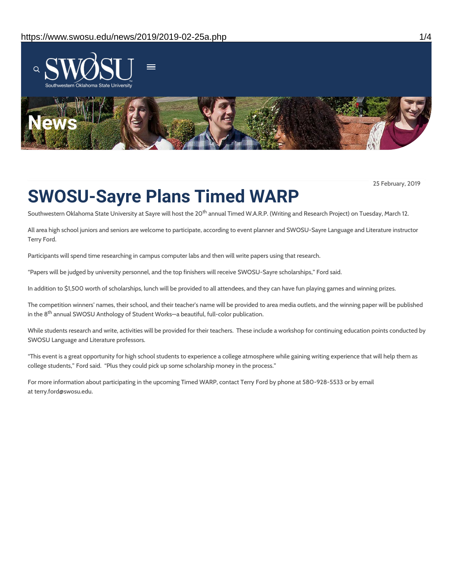

25 February, 2019

# **SWOSU-Sayre Plans Timed WARP**

Southwestern Oklahoma State University at Sayre will host the 20<sup>th</sup> annual Timed W.A.R.P. (Writing and Research Project) on Tuesday, March 12.

All area high school juniors and seniors are welcome to participate, according to event planner and SWOSU-Sayre Language and Literature instructor Terry Ford.

Participants will spend time researching in campus computer labs and then will write papers using that research.

"Papers will be judged by university personnel, and the top finishers will receive SWOSU-Sayre scholarships," Ford said.

In addition to \$1,500 worth of scholarships, lunch will be provided to all attendees, and they can have fun playing games and winning prizes.

The competition winners' names, their school, and their teacher's name will be provided to area media outlets, and the winning paper will be published in the 8<sup>th</sup> annual SWOSU Anthology of Student Works—a beautiful, full-color publication.

While students research and write, activities will be provided for their teachers. These include a workshop for continuing education points conducted by SWOSU Language and Literature professors.

"This event is a great opportunity for high school students to experience a college atmosphere while gaining writing experience that will help them as college students," Ford said. "Plus they could pick up some scholarship money in the process."

For more information about participating in the upcoming Timed WARP, contact Terry Ford by phone at 580-928-5533 or by email at terry.ford@swosu.edu.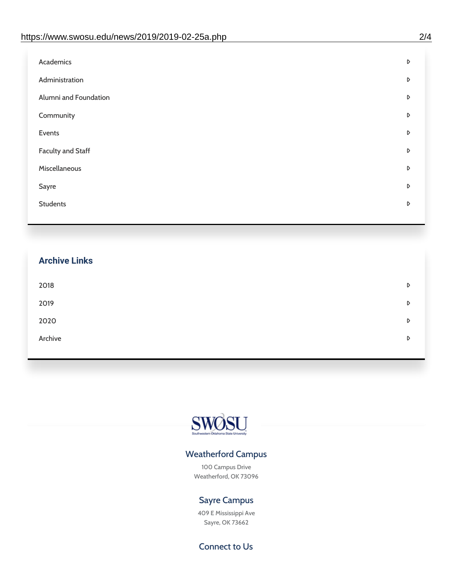| D |
|---|
| D |
| D |
| D |
| D |
| D |
| D |
| D |
| D |
|   |

## **Archive Links**  $2018$  $2019$ [2020](https://www.swosu.edu/news/2020/index.php)  $\bullet$ [Archive](https://dc.swosu.edu/bark/) **Archive Archive Archive Archive Archive** Archive Archive Archive Archive Archive Archive Archive Archive



### Weatherford Campus

100 Campus Drive Weatherford, OK 73096

### Sayre Campus

409 E Mississippi Ave Sayre, OK 73662

Connect to Us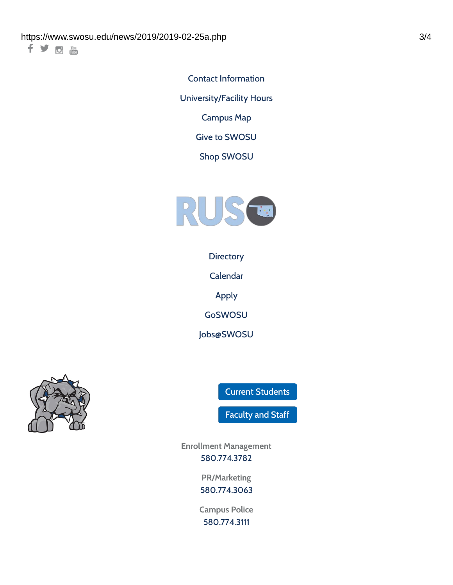千岁回调

Contact [Information](https://www.swosu.edu/about/contact.php) [University/Facility](https://www.swosu.edu/about/operating-hours.php) Hours [Campus](https://map.concept3d.com/?id=768#!ct/10964,10214,10213,10212,10205,10204,10203,10202,10136,10129,10128,0,31226,10130,10201,10641,0) Map

Give to [SWOSU](https://standingfirmly.com/donate)

Shop [SWOSU](https://shopswosu.merchorders.com/)



**[Directory](https://www.swosu.edu/directory/index.php)** 

[Calendar](https://eventpublisher.dudesolutions.com/swosu/)

[Apply](https://www.swosu.edu/admissions/apply-to-swosu.php)

[GoSWOSU](https://qlsso.quicklaunchsso.com/home/1267)

[Jobs@SWOSU](https://swosu.csod.com/ux/ats/careersite/1/home?c=swosu)



Current [Students](https://bulldog.swosu.edu/index.php)

[Faculty](https://bulldog.swosu.edu/faculty-staff/index.php) and Staff

**Enrollment Management** [580.774.3782](tel:5807743782)

> **PR/Marketing** [580.774.3063](tel:5807743063)

**Campus Police** [580.774.3111](tel:5807743111)